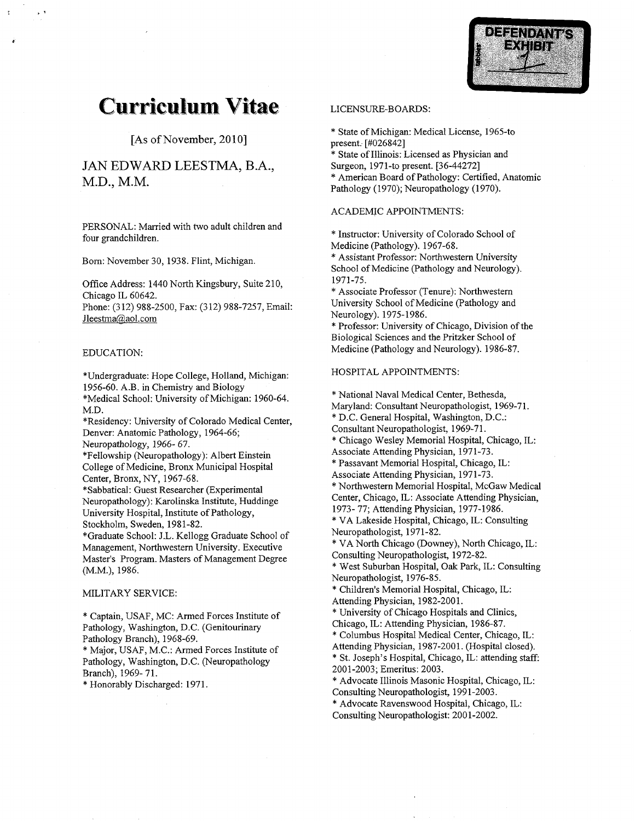

# **Curriculum Vitae**

[As of November, 2010]

## JAN EDWARD LEESTMA, B.A., M.D., M.M.

PERSONAL: Married with two adult children and four grandchildren

Born: November 30, 1938. Flint, Michigan.

Office Address: 1440 North Kingsbury, Suite 210, Chicago IL 60642

Phone: (312) 988-2500, Fax: (312) 988-7257, Email: Jleestma@aol.com

## EDUCATION

\*Undergraduate: Hope College, Holland, Michigan: 1956-60 A.B in Chemistry and Biology

\*Medical School: University of Michigan: 1960-64. M.D

\*Residency: University of Colorado Medical Center, Denver: Anatomic Pathology, 1964-66;

Neuropathology, 1966-67.

\*Fellowship (Neuropathology): Albert Einstein College of Medicine, Bronx Municipal Hospital Center, Bronx, NY, 1967-68.

\*Sabbatical: Guest Researcher (Experimental Neuropathology): Karolinska Institute, Huddinge University Hospital, Institute of Pathology, Stockholm, Sweden, 1981-82.

\*Graduate School: J.L. Kellogg Graduate School of Management, Northwestern University. Executive Master's Program. Masters of Management Degree (M.M.), 1986.

## MILITARY SERVICE

\* Captain, USAF, MC: Armed Forces Institute of Pathology, Washington, D.C. (Genitourinary Pathology Branch), 1968-69.

\* Major, USAF, M.C .: Armed Forces Institute of Pathology, Washington, D.C. (Neuropathology Branch), 1969-71.

\* Honorably Discharged: 1971.

## LICENSURE-BOARDS

\* State of Michigan: Medical License, 1965-to present. [#026842]

\* State of Illinois: Licensed as Physician and

Surgeon, 1971-to present. [36-44272]

\* American Board of Pathology: Certified, Anatomic Pathology (1970); Neuropathology (1970).

## ACADEMIC APPOINTMENTS

\* Instructor: University of Colorado School of Medicine (Pathology). 1967-68.

Assistant Professor Northwestern University School of Medicine (Pathology and Neurology). 1971-75

\* Associate Professor (Tenure): Northwestern University School of Medicine (Pathology and Neurology). 1975-1986.

\* Professor: University of Chicago, Division of the Biological Sciences and the Pritzker School of Medicine (Pathology and Neurology). 1986-87.

## HOSPITAL APPOINTMENTS

\* National Naval Medical Center, Bethesda,

Maryland: Consultant Neuropathologist, 1969-71.

\* D.C. General Hospital, Washington, D.C.:

Consultant Neuropathologist, 1969-71.

\* Chicago Wesley Memorial Hospital, Chicago, IL: Associate Attending Physician, 1971-73.

\* Passavant Memorial Hospital, Chicago, IL:

Associate Attending Physician, 1971-73.

\* Northwestern Memorial Hospital, McGaw Medical

Center, Chicago, IL: Associate Attending Physician, 1973- 77; Attending Physician, 1977-1986.

\* VA Lakeside Hospital, Chicago, IL: Consulting Neuropathologist, 1971-82.

\* VA North Chicago (Downey), North Chicago, IL: Consulting Neuropathologist, 1972-82.

\* West Suburban Hospital, Oak Park, IL: Consulting Neuropathologist, 1976-85.

\* Children's Memorial Hospital, Chicago, IL: Attending Physician, 1982-2001.

University of Chicago Hospitals and Clinics Chicago, IL: Attending Physician, 1986-87.

\* Columbus Hospital Medical Center, Chicago, IL:

Attending Physician, 1987-2001. (Hospital closed).

\* St. Joseph's Hospital, Chicago, IL: attending staff: 2001-2003; Emeritus: 2003.

\* Advocate Illinois Masonic Hospital, Chicago, IL: Consulting Neuropathologist, 1991-2003.

\* Advocate Ravenswood Hospital, Chicago, IL: Consulting Neuropathologist: 2001-2002.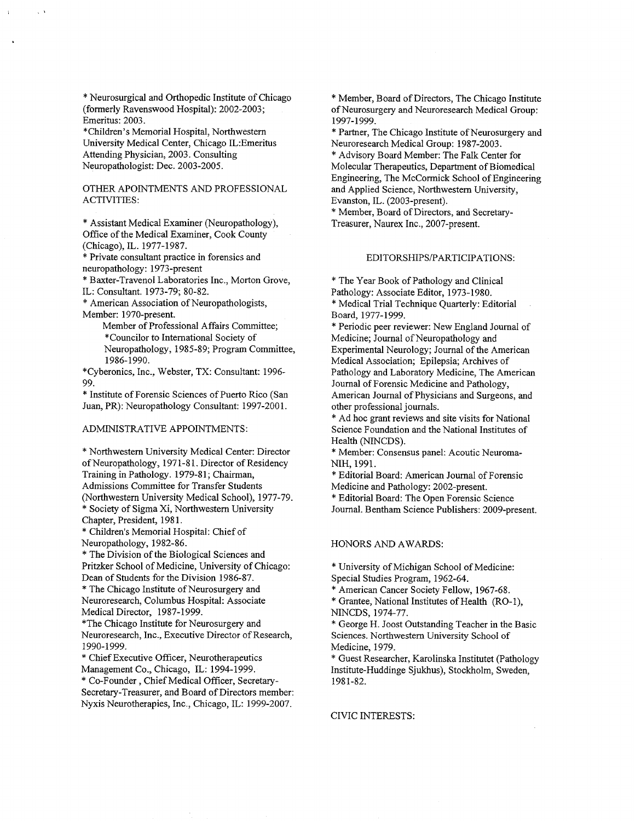Neurosurgical and Orthopedic Institute of Chicago (formerly Ravenswood Hospital): 2002-2003; Emeritus: 2003.

\*Children's Memorial Hospital, Northwestern University Medical Center, Chicago IL: Emeritus Attending Physician, 2003. Consulting Neuropathologist: Dec. 2003-2005.

## OTHER APOINTMENTS AND PROFESSIONAL ACTIVITIES

\* Assistant Medical Examiner (Neuropathology), Office of the Medical Examiner, Cook County (Chicago), IL. 1977-1987.

Private consultant practice in forensics and neuropathology: 1973-present

\* Baxter-Travenol Laboratories Inc., Morton Grove, IL: Consultant. 1973-79; 80-82.

American Association of Neuropathologists Member: 1970-present.

Member of Professional Affairs Committee Councilor to International Society of Neuropathology, 1985-89; Program Committee, 1986-1990

\*Cyberonics, Inc., Webster, TX: Consultant: 1996-99

\* Institute of Forensic Sciences of Puerto Rico (San Juan, PR): Neuropathology Consultant: 1997-2001.

## ADMINISTRATIVE APPOINTMENTS

\* Northwestern University Medical Center: Director of Neuropathology, 1971-81. Director of Residency Training in Pathology. 1979-81; Chairman, Admissions Committee for Transfer Students (Northwestern University Medical School), 1977-79. \* Society of Sigma Xi, Northwestern University Chapter, President, 1981.

\* Children's Memorial Hospital: Chief of Neuropathology, 1982-86.

The Division of the Biological Sciences and Pritzker School of Medicine, University of Chicago: Dean of Students for the Division 1986-87

The Chicago Institute of Neurosurgery and Neuroresearch, Columbus Hospital: Associate Medical Director, 1987-1999.

The Chicago Institute for Neurosurgery and Neuroresearch, Inc., Executive Director of Research, 1990-1999.

\* Chief Executive Officer, Neurotherapeutics Management Co., Chicago, IL: 1994-1999.

\* Co-Founder, Chief Medical Officer, Secretary-Secretary-Treasurer, and Board of Directors member: Nyxis Neurotherapies, Inc., Chicago, IL: 1999-2007.

\* Member, Board of Directors, The Chicago Institute of Neurosurgery and Neuroresearch Medical Group 1997-1999

\* Partner, The Chicago Institute of Neurosurgery and Neuroresearch Medical Group: 1987-2003.

\* Advisory Board Member: The Falk Center for Molecular Therapeutics, Department of Biomedical Engineering The McCormick School of Engineering and Applied Science, Northwestern University, Evanston, IL. (2003-present).

\* Member, Board of Directors, and Secretary-Treasurer, Naurex Inc., 2007-present.

## EDITORSHIPS/PARTICIPATIONS

The Year Book of Pathology and Clinical

Pathology: Associate Editor, 1973-1980.

\* Medical Trial Technique Quarterly: Editorial Board, 1977-1999.

\* Periodic peer reviewer: New England Journal of Medicine; Journal of Neuropathology and Experimental Neurology; Journal of the American Medical Association; Epilepsia; Archives of Pathology and Laboratory Medicine, The American Journal of Forensic Medicine and Pathology American Journal of Physicians and Surgeons, and other professional journals

Ad hoc grant reviews and site visits for National Science Foundation and the National Institutes of Health (NINCDS).

\* Member: Consensus panel: Acoutic Neuroma-NIH, 1991.

\* Editorial Board: American Journal of Forensic Medicine and Pathology: 2002-present.

\* Editorial Board: The Open Forensic Science Journal. Bentham Science Publishers: 2009-present.

## HONORS AND AWARDS

University of Michigan School of Medicine Special Studies Program, 1962-64.

\* American Cancer Society Fellow, 1967-68.

\* Grantee, National Institutes of Health (RO-1), NINCDS, 1974-77.

\* George H. Joost Outstanding Teacher in the Basic Sciences Northwestern University School of Medicine, 1979.

\* Guest Researcher, Karolinska Institutet (Pathology Institute-Huddinge Sjukhus), Stockholm, Sweden, 1981-82.

#### CIVIC INTERESTS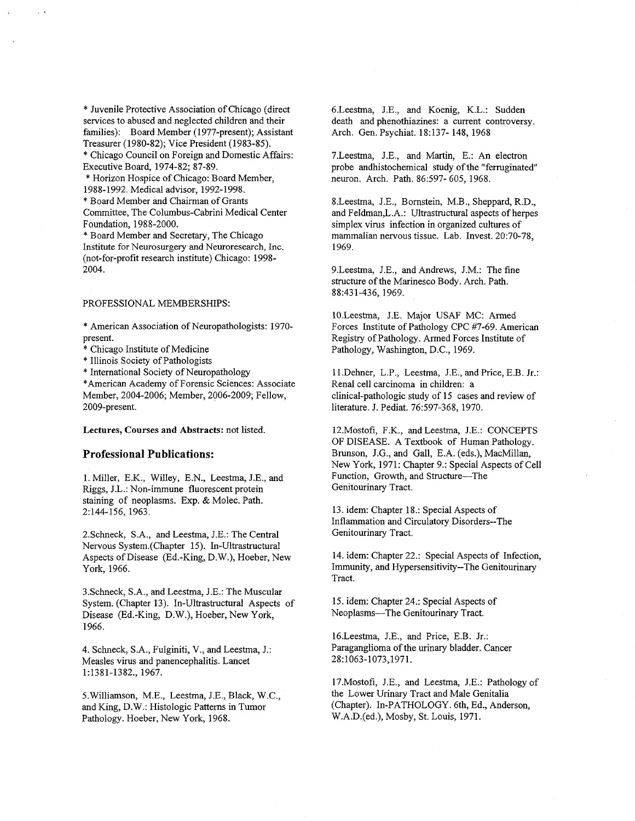\* Juvenile Protective Association of Chicago (direct services to abused and neglected children and their families): Board Member (1977-present); Assistant Treasurer (1980-82); Vice President (1983-85). Chicago Council on Foreign and Domestic Affairs

Executive Board, 1974-82; 87-89. \* Horizon Hospice of Chicago: Board Member,

1988-1992. Medical advisor, 1992-1998.

Board Member and Chairman of Grants

Committee, The Columbus-Cabrini Medical Center Foundation, 1988-2000.

\* Board Member and Secretary, The Chicago Institute for Neurosurgery and Neuroresearch, Inc. (not-for-profit research institute) Chicago: 1998-2004

#### PROFESSIONAL MEMBERSHIPS

American Association of Neuropathologists 1970 present

Chicago Institute of Medicine

Illinois Society of Pathologists

International Society of Neuropathology

\* American Academy of Forensic Sciences: Associate Member, 2004-2006; Member, 2006-2009; Fellow, 2009-present

#### Lectures, Courses and Abstracts: not listed.

## Professional Publications

1. Miller, E.K., Willey, E.N., Leestma, J.E., and Riggs, J.L.: Non-immune fluorescent protein staining of neoplasms. Exp. & Molec. Path. 2:144-156, 1963.

2.Schneck, S.A., and Leestma, J.E.: The Central Nervous System.(Chapter 15). In-Ultrastructural Aspects of Disease (Ed.-King, D.W.), Hoeber, New York, 1966.

3.Schneck, S.A., and Leestma, J.E.: The Muscular System. (Chapter 13). In-Ultrastructural Aspects of Disease (Ed.-King, D.W.), Hoeber, New York, 1966

4. Schneck, S.A., Fulginiti, V., and Leestma, J.: Measles virus and panencephalitis Lancet 1:1381-1382., 1967.

5. Williamson, M.E., Leestma, J.E., Black, W.C., and King, D.W.: Histologic Patterns in Tumor Pathology. Hoeber, New York, 1968.

6.Leestma, J.E., and Koenig, K.L.: Sudden death and phenothiazines: a current controversy. Arch. Gen. Psychiat. 18:137- 148, 1968

7. Leestma, J.E., and Martin, E.: An electron probe andhistochemical study of the "ferruginated" neuron. Arch. Path. 86:597- 605, 1968.

8.Leestma, J.E., Bornstein, M.B., Sheppard, R.D., and Feldman, L.A.: Ultrastructural aspects of herpes simplex virus infection in organized cultures of mammalian nervous tissue. Lab. Invest. 20:70-78, 1969

9. Leestma, J.E., and Andrews, J.M.: The fine structure of the Marinesco Body. Arch. Path. 88:431-436, 1969.

10.Leestma, J.E. Major USAF MC: Armed Forces Institute of Pathology CPC #7-69. American Registry of Pathology Armed Forces Institute of Pathology, Washington, D.C., 1969.

11. Dehner, L.P., Leestma, J.E., and Price, E.B. Jr.: Renal cell carcinoma in children clinical-pathologic study of <sup>15</sup> cases and review of literature. J. Pediat. 76:597-368, 1970.

12. Mostofi, F.K., and Leestma, J.E.: CONCEPTS OF DISEASE. A Textbook of Human Pathology. Brunson, J.G., and Gall, E.A. (eds.), MacMillan, New York, 1971: Chapter 9.: Special Aspects of Cell Function, Growth, and Structure-The Genitourinary Tract

13. idem: Chapter 18.: Special Aspects of Inflammation and Circulatory Disorders--The Genitourinary Tract

14. idem: Chapter 22.: Special Aspects of Infection, Immunity, and Hypersensitivity--The Genitourinary Tract

15. idem: Chapter 24.: Special Aspects of Neoplasms-The Genitourinary Tract.

16. Leestma, J.E., and Price, E.B. Jr.: Paraganglioma of the urinary bladder. Cancer 28:1063-1073,1971.

17. Mostofi, J.E., and Leestma, J.E.: Pathology of the Lower Urinary Tract and Male Genitalia (Chapter). In-PATHOLOGY. 6th, Ed., Anderson, W.A.D.(ed.), Mosby, St. Louis, 1971.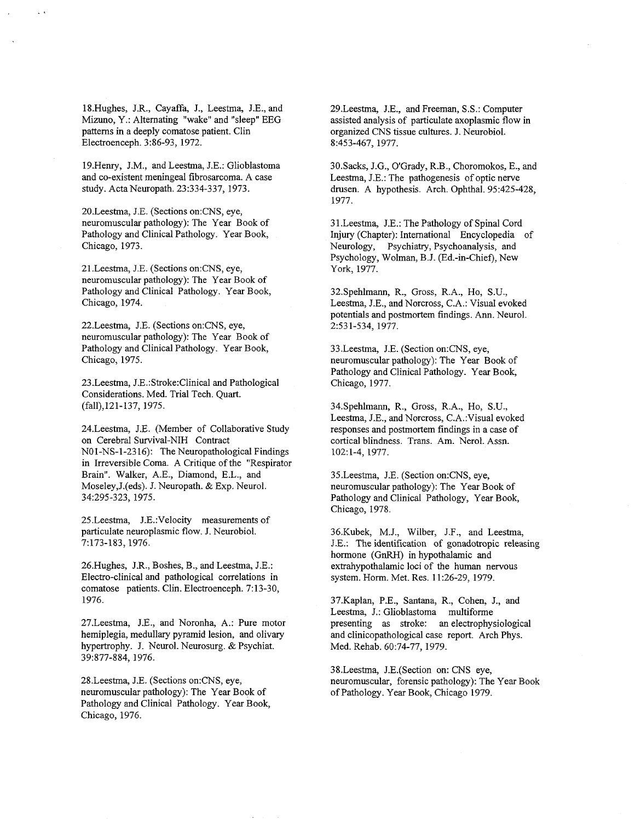18.Hughes, J.R., Cayaffa, J., Leestma, J.E., and Mizuno, Y.: Alternating "wake" and "sleep" EEG patterns in a deeply comatose patient. Clin Electroenceph. 3:86-93, 1972.

19.Henry, J.M., and Leestma, J.E .: Glioblastoma and co-existent meningeal fibrosarcoma. A case study. Acta Neuropath. 23:334-337, 1973.

20.Leestma, J.E. (Sections on:CNS, eye, neuromuscular pathology): The Year Book of Pathology and Clinical Pathology. Year Book, Chicago, 1973.

21. Leestma, J.E. (Sections on:CNS, eye, neuromuscular pathology): The Year Book of Pathology and Clinical Pathology. Year Book, Chicago, 1974.

22.Leestma, J.E. (Sections on:CNS, eye, neuromuscular pathology): The Year Book of Pathology and Clinical Pathology. Year Book, Chicago, 1975.

23.Leestma, J.E.:Stroke:Clinical and Pathological Considerations. Med. Trial Tech. Quart. (fall), 121-137, 1975.

24.Leestma, J.E. (Member of Collaborative Study on Cerebral Survival-NIH Contract NO1-NS-1-2316): The Neuropathological Findings in Irreversible Coma. A Critique of the "Respirator Brain". Walker, A.E., Diamond, E.L., and Moseley, J. (eds). J. Neuropath. & Exp. Neurol. 34:295-323, 1975.

25.Leestma, J.E.: Velocity measurements of particulate neuroplasmic flow. J. Neurobiol. 7:173-183, 1976.

26.Hughes, J.R., Boshes, B., and Leestma, J.E.: Electro-clinical and pathological correlations in comatose patients. Clin. Electroenceph. 7:13-30, 1976

27. Leestma, J.E., and Noronha, A.: Pure motor hemiplegia, medullary pyramid lesion, and olivary hypertrophy. J. Neurol. Neurosurg. & Psychiat. 39:877-884, 1976.

28. Leestma, J.E. (Sections on:CNS, eye, neuromuscular pathology): The Year Book of Pathology and Clinical Pathology. Year Book, Chicago, 1976.

29.Leestma, J.E., and Freeman, S.S.: Computer assisted analysis of particulate axoplasmic flow in organized CNS tissue cultures. J. Neurobiol. 8:453-467, 1977.

30.Sacks, J.G., O'Grady, R.B., Choromokos, E., and Leestma, J.E.: The pathogenesis of optic nerve drusen. A hypothesis. Arch. Ophthal. 95:425-428, 1977

31.Leestma, J.E.: The Pathology of Spinal Cord Injury (Chapter): International Encyclopedia of Neurology, Psychiatry, Psychoanalysis, and Psychology, Wolman, B.J. (Ed.-in-Chief), New York, 1977.

32.Spehlmann, R., Gross, R.A., Ho, S.U., Leestma, J.E., and Norcross, C.A.: Visual evoked potentials and postmortem findings. Ann. Neurol. 2:531-534, 1977.

33.Leestma, J.E. (Section on:CNS, eye, neuromuscular pathology): The Year Book of Pathology and Clinical Pathology. Year Book, Chicago, 1977.

34.Spehlmann, R., Gross, R.A., Ho, S.U., Leestma, J.E., and Norcross, C.A.: Visual evoked responses and postmortem findings in a case of cortical blindness. Trans. Am. Nerol. Assn. 102:1-4, 1977.

35. Leestma, J.E. (Section on: CNS, eye, neuromuscular pathology): The Year Book of Pathology and Clinical Pathology, Year Book, Chicago, 1978.

36.Kubek, M.J., Wilber, J.F., and Leestma, J.E.: The identification of gonadotropic releasing hormone (GnRH) in hypothalamic and extrahypothalamic loci of the human nervous system. Horm. Met. Res. 11:26-29, 1979.

37.Kaplan, P.E., Santana, R., Cohen, J., and Leestma, J.: Glioblastoma multiforme presenting as stroke: an electrophysiological and clinicopathological case report. Arch Phys. Med. Rehab. 60:74-77, 1979.

38.Leestma, J.E.(Section on: CNS eye, neuromuscular, forensic pathology): The Year Book of Pathology. Year Book, Chicago 1979.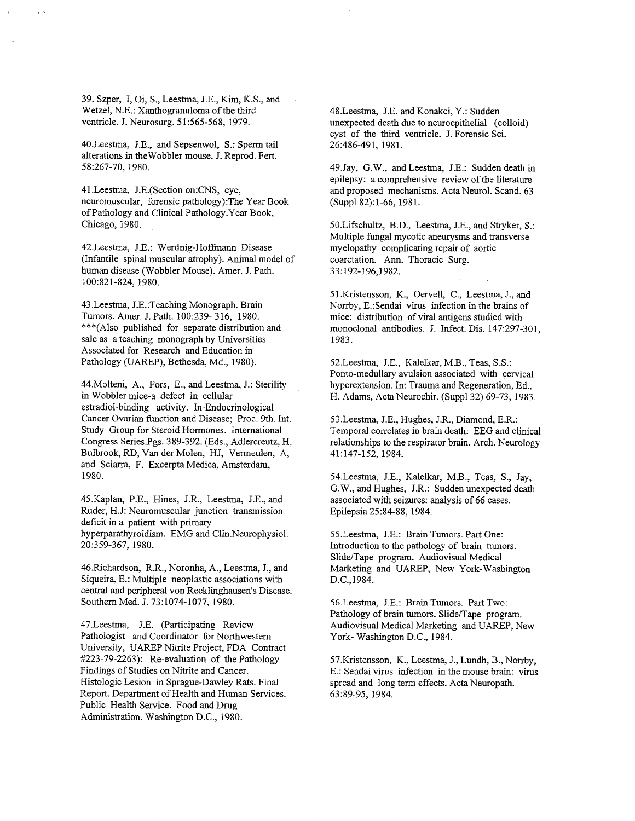39. Szper, I, Oi, S., Leestma, J.E., Kim, K.S., and Wetzel, N.E.: Xanthogranuloma of the third ventricle. J. Neurosurg. 51:565-568, 1979.

40. Leestma, J.E., and Sepsenwol, S.: Sperm tail alterations in the Wobbler mouse. J. Reprod. Fert. 58:267-70, 1980.

41.Leestma, J.E.(Section on:CNS, eye, neuromuscular, forensic pathology): The Year Book of Pathology and Clinical Pathology.Year Book Chicago, 1980.

42.Leestma, J.E.: Werdnig-Hoffmann Disease (Infantile spinal muscular atrophy). Animal model of human disease (Wobbler Mouse). Amer. J. Path. 100:821-824, 1980.

43. Leestma, J.E.: Teaching Monograph. Brain Tumors. Amer. J. Path. 100:239- 316, 1980. \*\*\*(Also published for separate distribution and sale as teaching monograph by Universities Associated for Research and Education in Pathology (UAREP), Bethesda, Md., 1980).

44. Molteni, A., Fors, E., and Leestma, J.: Sterility in Wobbler mice-a defect in cellular estradiol-binding activity. In-Endocrinological Cancer Ovarian function and Disease; Proc. 9th. Int. Study Group for Steroid Hormones. International Congress Series.Pgs. 389-392. (Eds., Adlercreutz, H, Bulbrook, RD, Van der Molen, HJ, Vermeulen, A, and Sciarra, F. Excerpta Medica, Amsterdam, 1980

45.Kaplan, P.E., Hines, J.R., Leestma, J.E., and Ruder, H.J: Neuromuscular junction transmission deficit in a patient with primary hyperparathyroidism. EMG and Clin.Neurophysiol. 20:359-367, 1980.

46.Richardson, R.R., Noronha, A., Leestma, J., and Siqueira, E.: Multiple neoplastic associations with central and peripheral von Recklinghausen's Disease. Southern Med. J. 73:1074-1077, 1980.

47. Leestma, J.E. (Participating Review Pathologist and Coordinator for Northwestern University, UAREP Nitrite Project, FDA Contract  $\text{\#223-79-2263}:$  Re-evaluation of the Pathology Findings of Studies on Nitrite and Cancer Histologic Lesion in Sprague-Dawley Rats. Final Report. Department of Health and Human Services. Public Health Service. Food and Drug Administration. Washington D.C., 1980.

48. Leestma, J.E. and Konakci, Y.: Sudden unexpected death due to neuroepithelial (colloid) cyst of the third ventricle. J. Forensic Sci. 26:486-491, 1981.

49.Jay, G.W., and Leestma, J.E.: Sudden death in epilepsy: a comprehensive review of the literature and proposed mechanisms. Acta Neurol. Scand, 63 (Suppl 82):1-66, 1981.

50.Lifschultz, B.D., Leestma, J.E., and Stryker, S.: Multiple fungal mycotic aneurysms and transverse myelopathy complicating repair of aortic coarctation. Ann. Thoracic Surg. 33 192-196 1982

51.Kristensson, K., Oervell, C., Leestma, J., and Norrby, E.: Sendai virus infection in the brains of mice: distribution of viral antigens studied with monoclonal antibodies. J. Infect. Dis. 147:297-301. 1983

52.Leestma, J.E., Kalelkar, M.B., Teas, S.S.: Ponto-medullary avulsion associated with cervical hyperextension. In: Trauma and Regeneration, Ed., H. Adams, Acta Neurochir. (Suppl 32) 69-73, 1983.

53. Leestma, J.E., Hughes, J.R., Diamond, E.R.: Temporal correlates in brain death: EEG and clinical relationships to the respirator brain. Arch. Neurology 41:147-152, 1984.

54.Leestma, J.E., Kalelkar, M.B., Teas, S., Jay, G.W., and Hughes, J.R.: Sudden unexpected death associated with seizures: analysis of 66 cases. Epilepsia 25:84-88, 1984.

55.Leestma, J.E.: Brain Tumors. Part One: Introduction to the pathology of brain tumors Slide/Tape program. Audiovisual Medical Marketing and UAREP, New York-Washington D.C.1984

56. Leestma, J.E.: Brain Tumors. Part Two: Pathology of brain tumors. Slide/Tape program. Audiovisual Medical Marketing and UAREP, New York-Washington D.C., 1984.

57.Kristensson, K., Leestma, J., Lundh, B., Norrby, E.: Sendai virus infection in the mouse brain: virus spread and long term effects. Acta Neuropath. 63:89-95, 1984.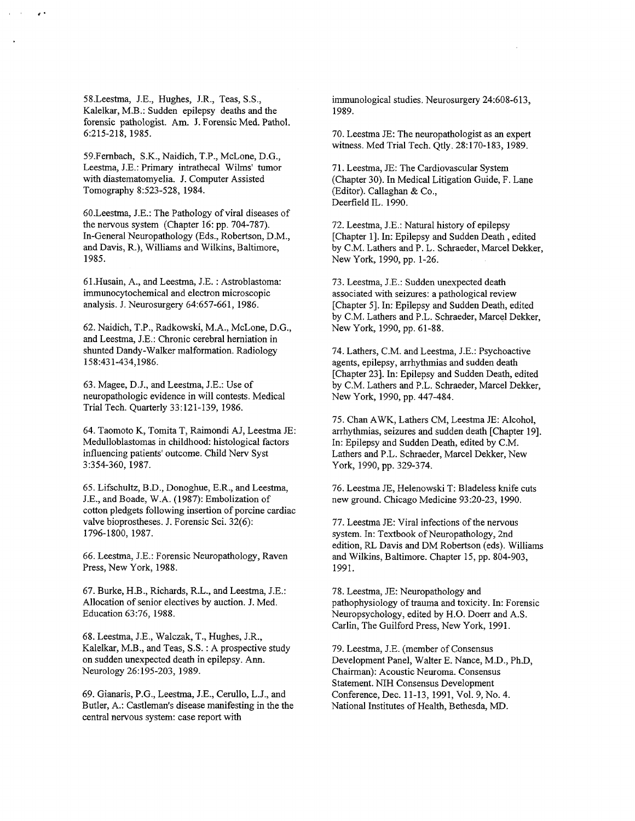58.Leestma, J.E., Hughes, J.R., Teas, S.S., Kalelkar, M.B .: Sudden epilepsy deaths and the forensic pathologist. Am. J. Forensic Med. Pathol. 6:215-218, 1985.

59.Fernbach, S.K., Naidich, T.P., McLone, D.G., Leestma, J.E.: Primary intrathecal Wilms' tumor with diastematomyelia. J. Computer Assisted Tomography 8:523-528, 1984.

60. Leestma, J.E.: The Pathology of viral diseases of the nervous system (Chapter 16: pp.  $704-787$ ). In-General Neuropathology (Eds., Robertson, D.M., and Davis, R.), Williams and Wilkins, Baltimore, 1985

61. Husain, A., and Leestma, J.E.: Astroblastoma: immunocytochemical and electron microscopic analysis. J. Neurosurgery 64:657-661, 1986.

62. Naidich, T.P., Radkowski, M.A., McLone, D.G., and Leestma, J.E.: Chronic cerebral herniation in shunted Dandy-Walker malformation. Radiology 158431-4341986

63. Magee, D.J., and Leestma, J.E.: Use of neuropathologic evidence in will contests Medical Trial Tech. Quarterly 33:121-139, 1986.

64. Taomoto K, Tomita T, Raimondi AJ, Leestma JE: Medulloblastomas in childhood: histological factors influencing patients' outcome. Child Nerv Syst 3:354-360, 1987.

65. Lifschultz, B.D., Donoghue, E.R., and Leestma, J.E., and Boade, W.A. (1987): Embolization of cotton pledgets following insertion of porcine cardiac valve bioprostheses. J. Forensic Sci. 32(6): 1796-1800 1987

66. Leestma, J.E.: Forensic Neuropathology, Raven Press, New York, 1988.

67. Burke, H.B., Richards, R.L., and Leestma, J.E.: Allocation of senior electives by auction. J. Med. Education 63:76, 1988.

68. Leestma, J.E., Walczak, T., Hughes, J.R., Kalelkar, M.B., and Teas, S.S. : A prospective study on sudden unexpected death in epilepsy. Ann. Neurology 26:195-203, 1989.

69. Gianaris, P.G., Leestma, J.E., Cerullo, L.J., and Butler, A.: Castleman's disease manifesting in the the central nervous system: case report with

immunological studies. Neurosurgery 24:608-613, 1989

70. Leestma JE: The neuropathologist as an expert witness. Med Trial Tech. Qtly. 28:170-183, 1989.

71. Leestma, JE: The Cardiovascular System (Chapter 30). In Medical Litigation Guide, F. Lane  $(Editor)$ . Callaghan & Co., Deerfield IL. 1990.

72. Leestma, J.E.: Natural history of epilepsy [Chapter 1]. In: Epilepsy and Sudden Death, edited by C.M. Lathers and P. L. Schraeder, Marcel Dekker, New York, 1990, pp. 1-26.

73. Leestma, J.E.: Sudden unexpected death associated with seizures: a pathological review [Chapter 5]. In: Epilepsy and Sudden Death, edited by C.M. Lathers and P.L. Schraeder, Marcel Dekker, New York, 1990, pp. 61-88.

74. Lathers, C.M. and Leestma, J.E.: Psychoactive agents, epilepsy, arrhythmias and sudden death [Chapter 23]. In: Epilepsy and Sudden Death, edited by C.M. Lathers and P.L. Schraeder, Marcel Dekker, New York, 1990, pp. 447-484.

75. Chan AWK, Lathers CM, Leestma JE: Alcohol, arrhythmias, seizures and sudden death [Chapter 19]. In: Epilepsy and Sudden Death, edited by C.M. Lathers and P.L. Schraeder, Marcel Dekker, New York, 1990, pp. 329-374.

76. Leestma JE, Helenowski T: Bladeless knife cuts new ground. Chicago Medicine 93:20-23, 1990.

77. Leestma JE: Viral infections of the nervous system. In: Textbook of Neuropathology, 2nd edition. RL Davis and DM Robertson (eds). Williams and Wilkins, Baltimore. Chapter 15, pp. 804-903, 1991

78. Leestma, JE: Neuropathology and pathophysiology of trauma and toxicity. In: Forensic Neuropsychology, edited by H.O. Doerr and A.S. Carlin, The Guilford Press, New York, 1991.

79. Leestma, J.E. (member of Consensus Development Panel, Walter E. Nance, M.D., Ph.D. Chairman): Acoustic Neuroma. Consensus Statement. NIH Consensus Development Conference, Dec. 11-13, 1991, Vol. 9, No. 4. National Institutes of Health, Bethesda, MD.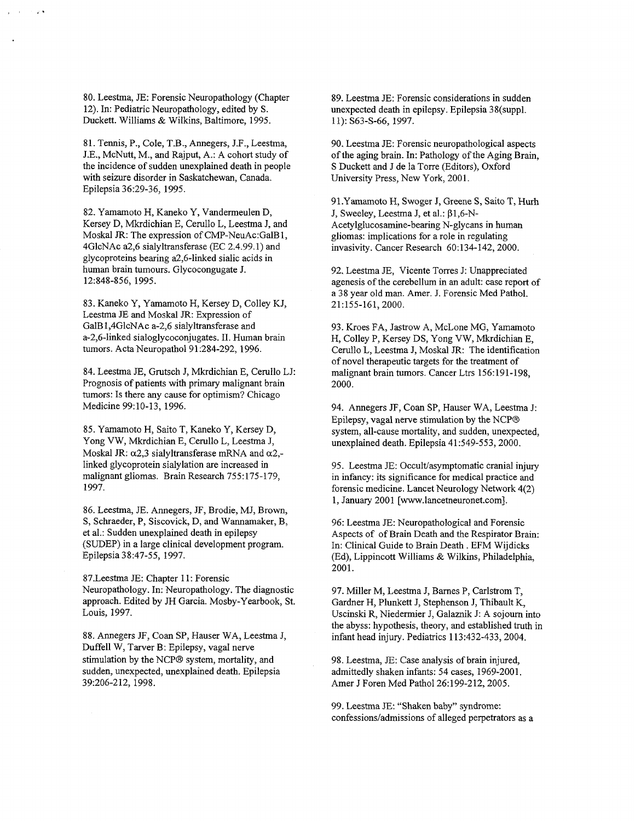80. Leestma, JE: Forensic Neuropathology (Chapter 12). In: Pediatric Neuropathology, edited by S. Duckett. Williams & Wilkins, Baltimore, 1995.

81. Tennis, P., Cole, T.B., Annegers, J.F., Leestma, J.E., McNutt, M., and Rajput, A.: A cohort study of the incidence of sudden unexplained death in people with seizure disorder in Saskatchewan, Canada. Epilepsia 36:29-36, 1995.

82. Yamamoto H, Kaneko Y, Vandermeulen D, Kersey D, Mkrdichian E, Cerullo L, Leestma J, and Moskal JR: The expression of CMP-NeuAc:GalB1, 4GlcNAc a2,6 sialyltransferase (EC 2.4.99.1) and glycoproteins bearing a2,6-linked sialic acids in human brain tumours. Glycocongugate J. 12:848-856, 1995.

83. Kaneko Y, Yamamoto H, Kersey D, Colley KJ, Leestma JE and Moskal JR: Expression of GalB1,4GlcNAc a-2,6 sialyltransferase and a-2,6-linked sialoglycoconjugates. II. Human brain tumors. Acta Neuropathol 91:284-292, 1996.

84. Leestma JE, Grutsch J, Mkrdichian E, Cerullo LJ: Prognosis of patients with primary malignant brain tumors: Is there any cause for optimism? Chicago Medicine 99:10-13, 1996.

85. Yamamoto H, Saito T, Kaneko Y, Kersey D, Yong VW, Mkrdichian E, Cerullo L, Leestma J, Moskal JR:  $\alpha$ 2,3 sialyltransferase mRNA and  $\alpha$ 2,linked glycoprotein sialylation are increased in malignant gliomas. Brain Research 755:175-179, 1997

86. Leestma, JE. Annegers, JF. Brodie, MJ, Brown, S, Schraeder, P, Siscovick, D, and Wannamaker, B, et al.: Sudden unexplained death in epilepsy (SUDEP) in a large clinical development program. Epilepsia 847-55 1997

87. Leestma JE: Chapter 11: Forensic Neuropathology. In: Neuropathology. The diagnostic approach. Edited by JH Garcia. Mosby-Yearbook, St. Louis, 1997.

88. Annegers JF, Coan SP, Hauser WA, Leestma J, Duffell W, Tarver B: Epilepsy, vagal nerve stimulation by the NCP® system, mortality, and sudden, unexpected, unexplained death. Epilepsia 39:206-212, 1998.

89. Leestma JE: Forensic considerations in sudden unexpected death in epilepsy. Epilepsia 38(suppl. 11): S63-S-66, 1997.

90. Leestma JE: Forensic neuropathological aspects of the aging brain. In: Pathology of the Aging Brain, S Duckett and J de la Torre (Editors), Oxford University Press, New York, 2001.

91. Yamamoto H, Swoger J, Greene S, Saito T, Hurh J, Sweeley, Leestma J, et al.:  $\beta$ 1,6-N-Acetylglucosamine-bearing N-glycans in human gliomas: implications for a role in regulating invasivity. Cancer Research 60:134-142, 2000.

92. Leestma JE, Vicente Torres J: Unappreciated agenesis of the cerebellum in an adult: case report of a 38 year old man. Amer. J. Forensic Med Pathol. 21:155-161, 2000.

93. Kroes FA, Jastrow A, McLone MG, Yamamoto H, Colley P, Kersey DS, Yong VW, Mkrdichian E, Cerullo L, Leestma J, Moskal JR: The identification of novel therapeutic targets for the treatment of malignant brain tumors. Cancer Ltrs 156:191-198. 2000

94. Annegers JF, Coan SP, Hauser WA, Leestma J: Epilepsy, vagal nerve stimulation by the NCP<sup>®</sup> system, all-cause mortality, and sudden, unexpected, unexplained death. Epilepsia 41:549-553, 2000.

95. Leestma JE: Occult/asymptomatic cranial injury in infancy: its significance for medical practice and forensic medicine. Lancet Neurology Network 4(2) 1, January 2001 [www.lancetneuronet.com].

96: Leestma JE: Neuropathological and Forensic Aspects of of Brain Death and the Respirator Brain In: Clinical Guide to Brain Death . EFM Wijdicks (Ed), Lippincott Williams & Wilkins, Philadelphia, 2001

97. Miller M, Leestma J, Barnes P, Carlstrom T, Gardner H, Plunkett J, Stephenson J, Thibault K, Uscinski R, Niedermier J, Galaznik J: A sojourn into the abyss: hypothesis, theory, and established truth in infant head injury. Pediatrics 113:432-433, 2004.

98. Leestma, JE: Case analysis of brain injured, admittedly shaken infants: 54 cases, 1969-2001. Amer J Foren Med Pathol 26:199-212, 2005.

99. Leestma JE: "Shaken baby" syndrome: confessions/admissions of alleged perpetrators as